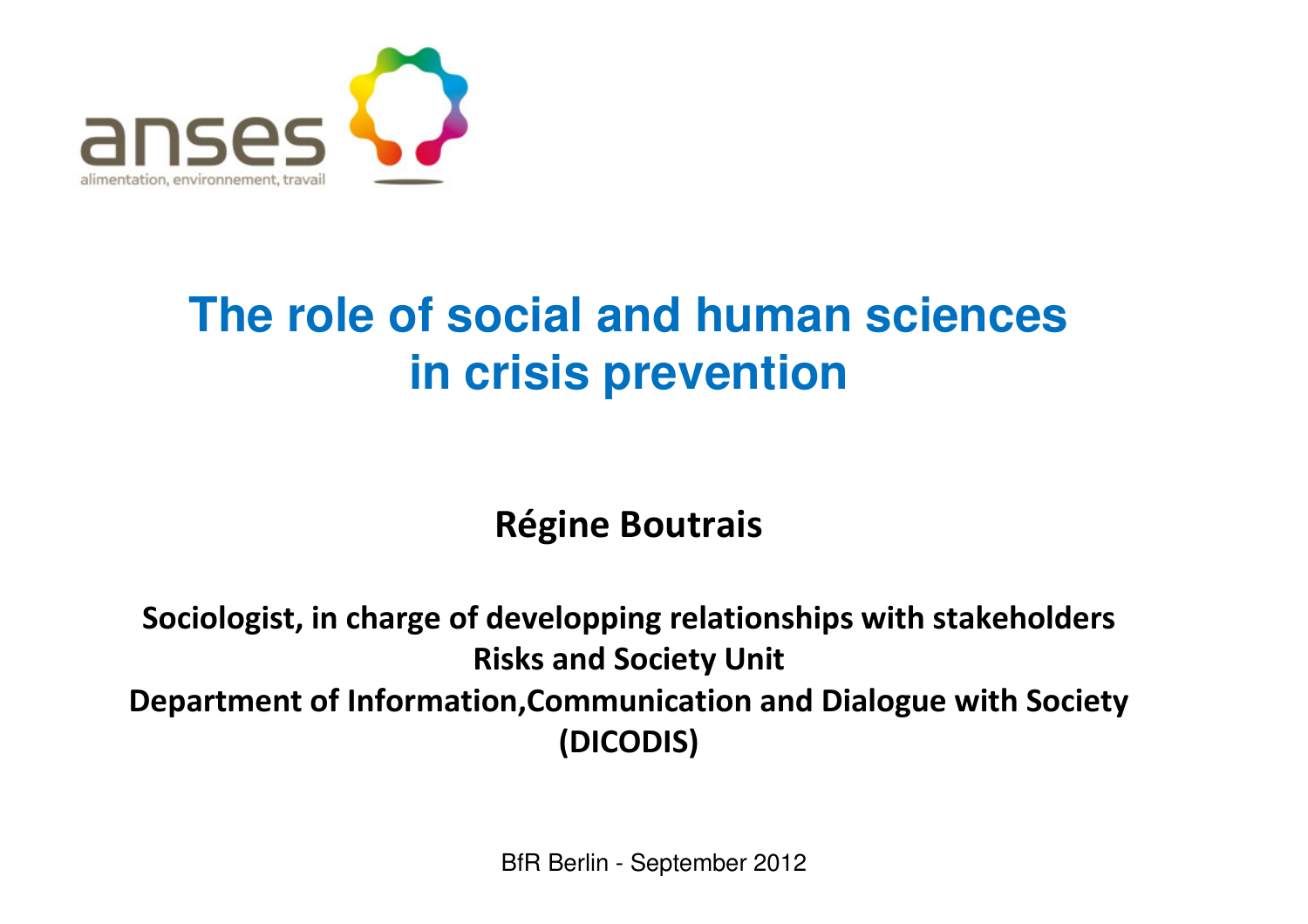

#### **The role of social and human sciences in crisis prevention**

Régine Boutrais

Sociologist, in charge of developping relationships with stakeholdersRisks and Society UnitDepartment of Information,Communication and Dialogue with Society (DICODIS)

BfR Berlin - September 2012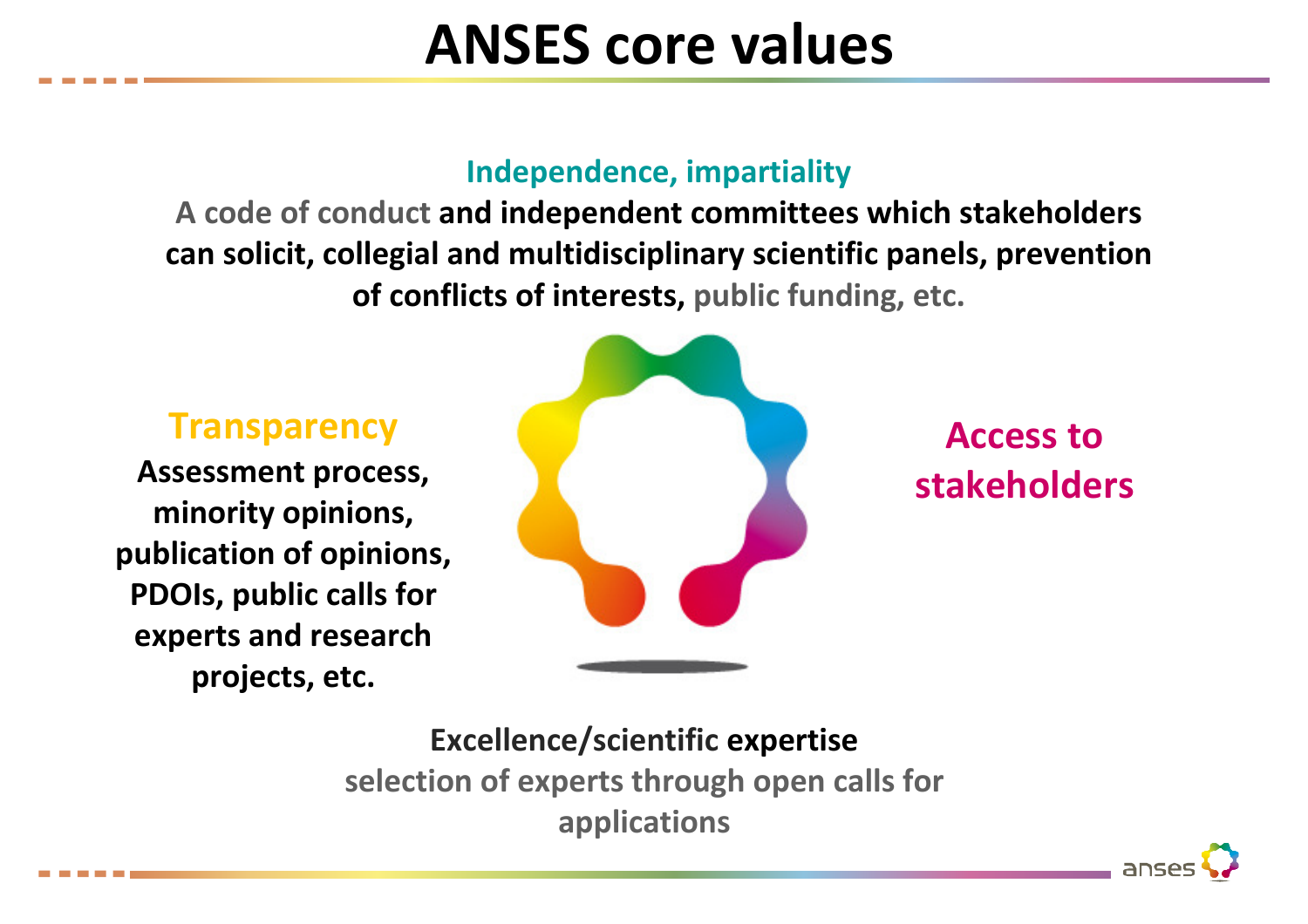# ANSES core values

#### Independence, impartiality

 A code of conduct and independent committees which stakeholders can solicit, collegial and multidisciplinary scientific panels, prevention of conflicts of interests, public funding, etc.

**Transparency** 

 Assessment process, minority opinions, publication of opinions, PDOIs, public calls for experts and research projects, etc.



Access to stakeholders

Excellence/scientific expertise selection of experts through open calls for applications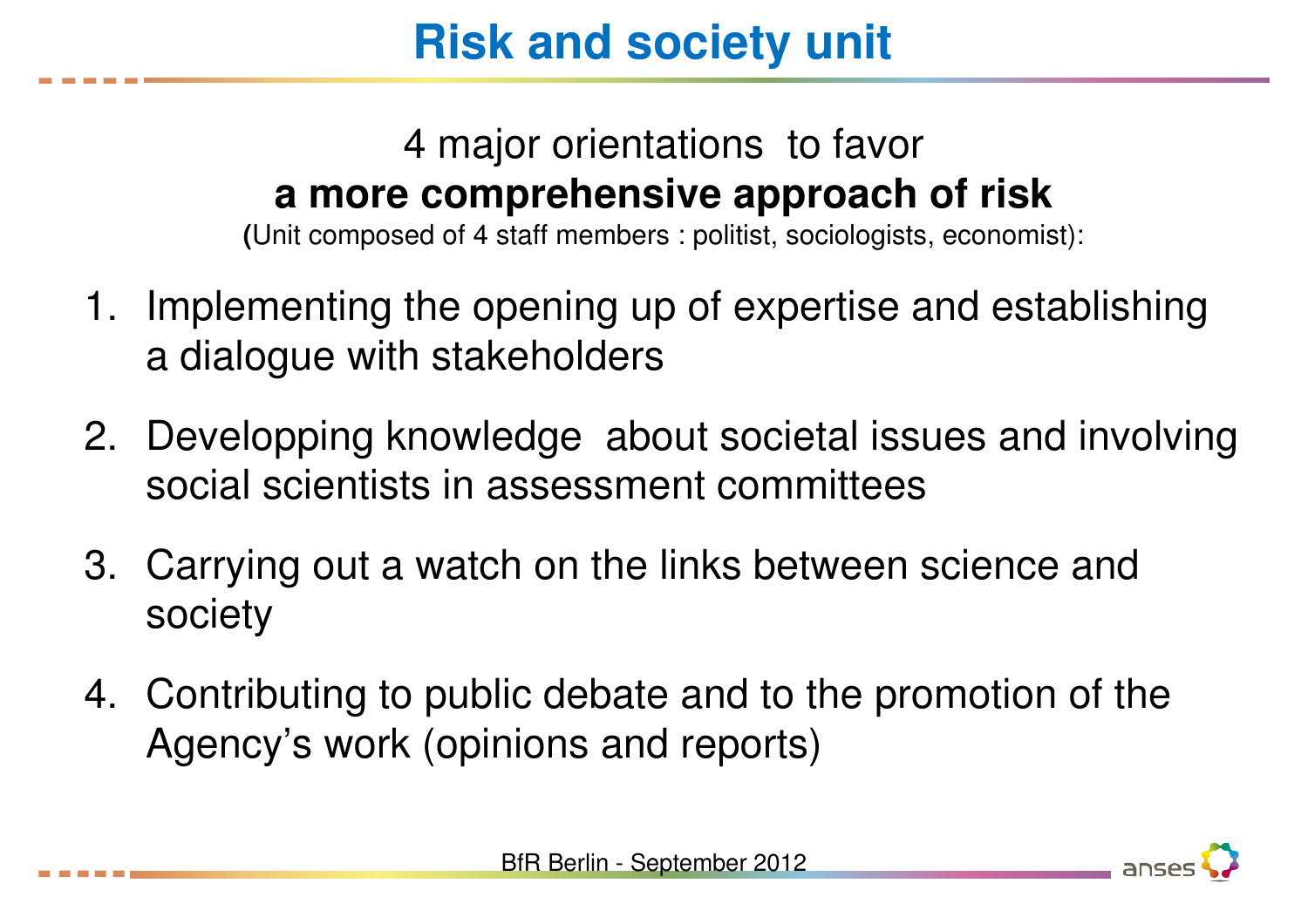# **Risk and society unit**

#### 4 major orientations to favor **a more comprehensive approach of risk**

**(**Unit composed of 4 staff members : politist, sociologists, economist):

- 1. Implementing the opening up of expertise and establishing a dialogue with stakeholders
- 2. Developping knowledge about societal issues and involving social scientists in assessment committees
- 3. Carrying out a watch on the links between science and society
- 4. Contributing to public debate and to the promotion of the Agency's work (opinions and reports)



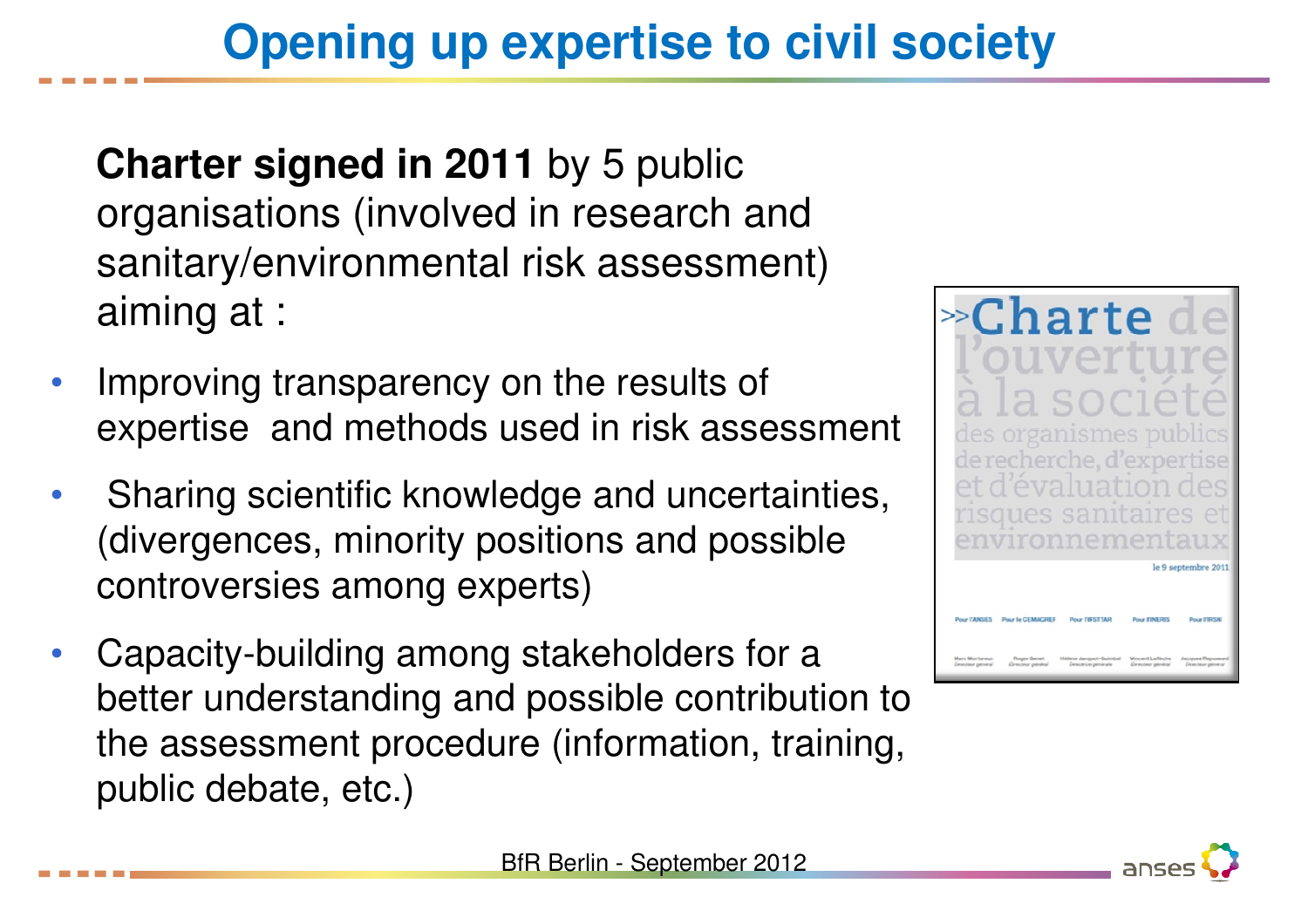# **Opening up expertise to civil society**

**Charter signed in 2011** by 5 public organisations (involved in research and sanitary/environmental risk assessment) aiming at :

- • Improving transparency on the results of expertise and methods used in risk assessment
- • Sharing scientific knowledge and uncertainties, (divergences, minority positions and possible controversies among experts)
- • Capacity-building among stakeholders for a better understanding and possible contribution to the assessment procedure (information, training, public debate, etc.)





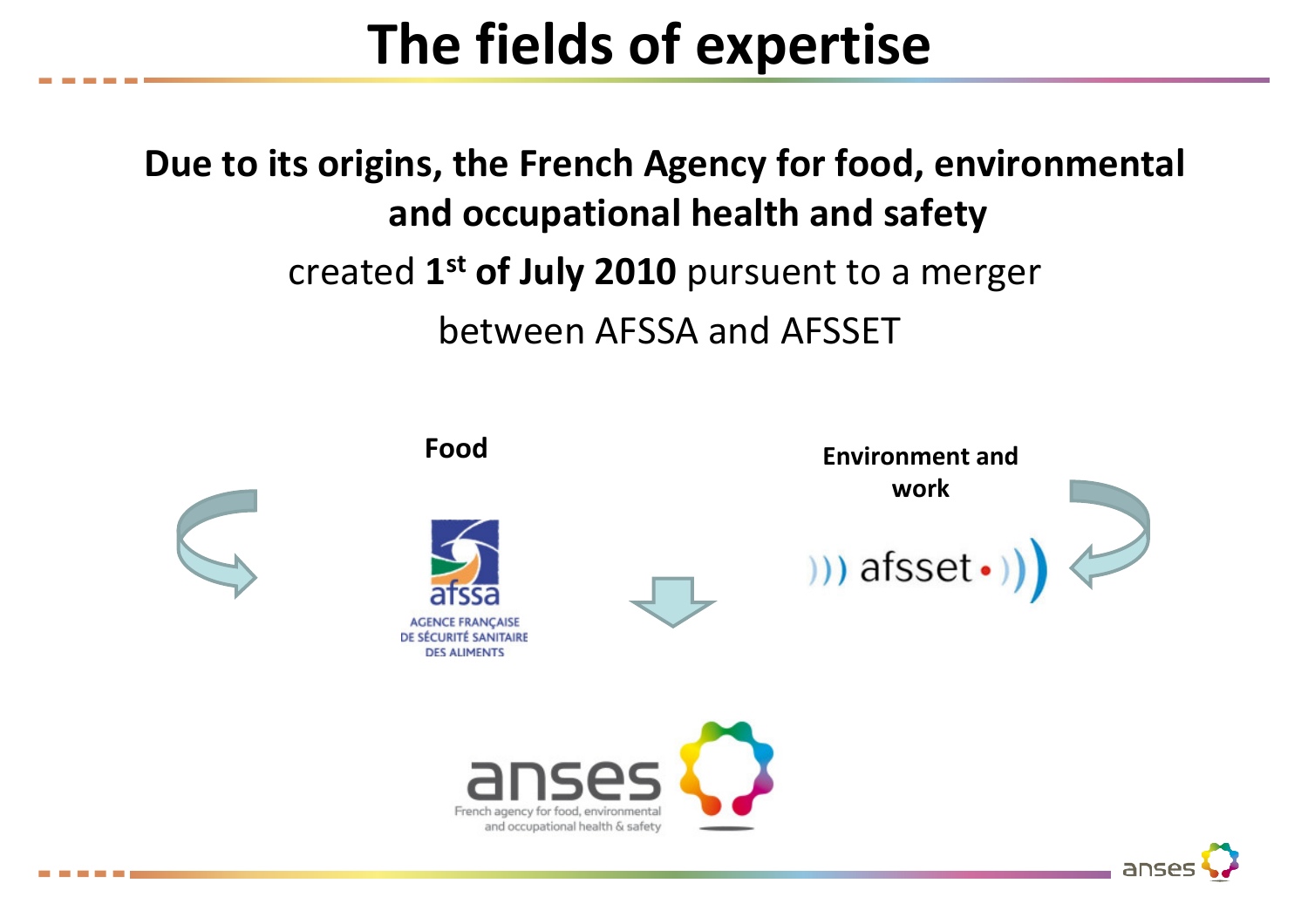# The fields of expertise

Due to its origins, the French Agency for food, environmental and occupational health and safetycreated 1<sup>st</sup> of July 2010 pursuent to a merger between AFSSA and AFSSET

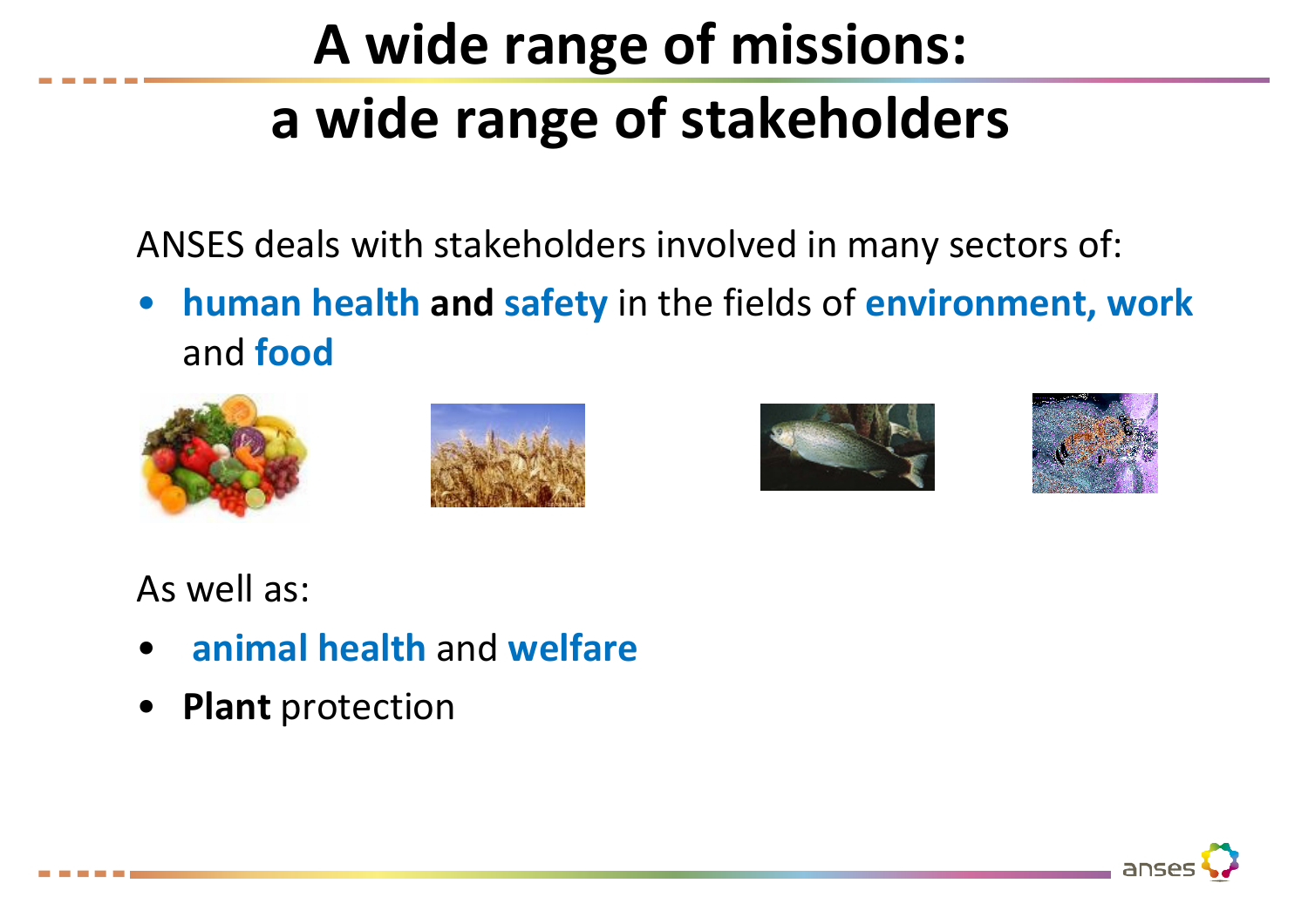# A wide range of missions: a wide range of stakeholders

ANSES deals with stakeholders involved in many sectors of:

• human health and safety in the fields of environment, work and food









As well as:

- •**• animal health and welfare**
- •Plant protection

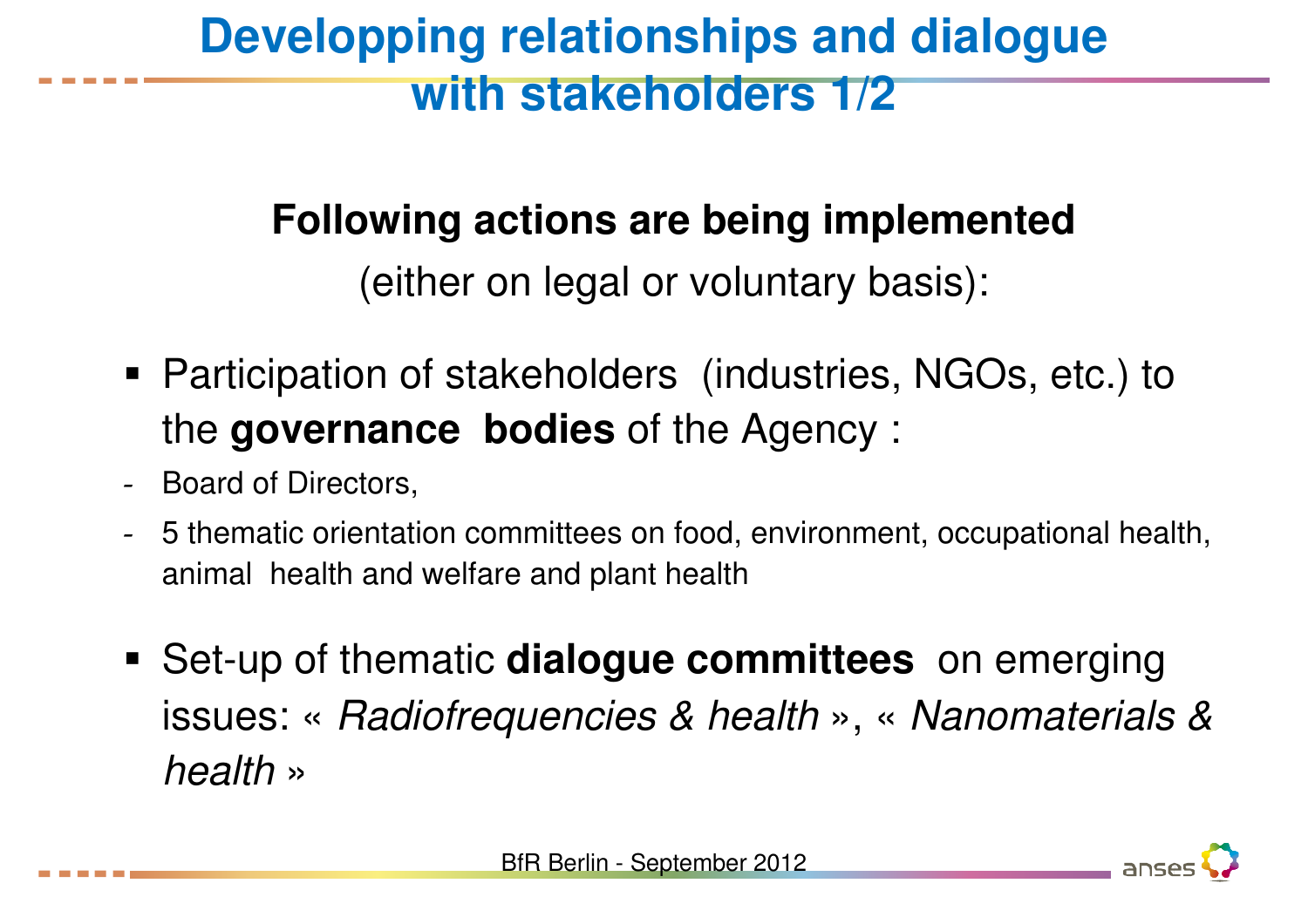## **Developping relationships and dialogue with stakeholders 1/2**

#### **Following actions are being implemented**

(either on legal or voluntary basis):

- Participation of stakeholders (industries, NGOs, etc.) to the **governance bodies** of the Agency :
- -- Board of Directors,
- - 5 thematic orientation committees on food, environment, occupational health, animal health and welfare and plant health
- Set-up of thematic **dialogue committees** on emerging issues: « Radiofrequencies & health », « Nanomaterials & health»

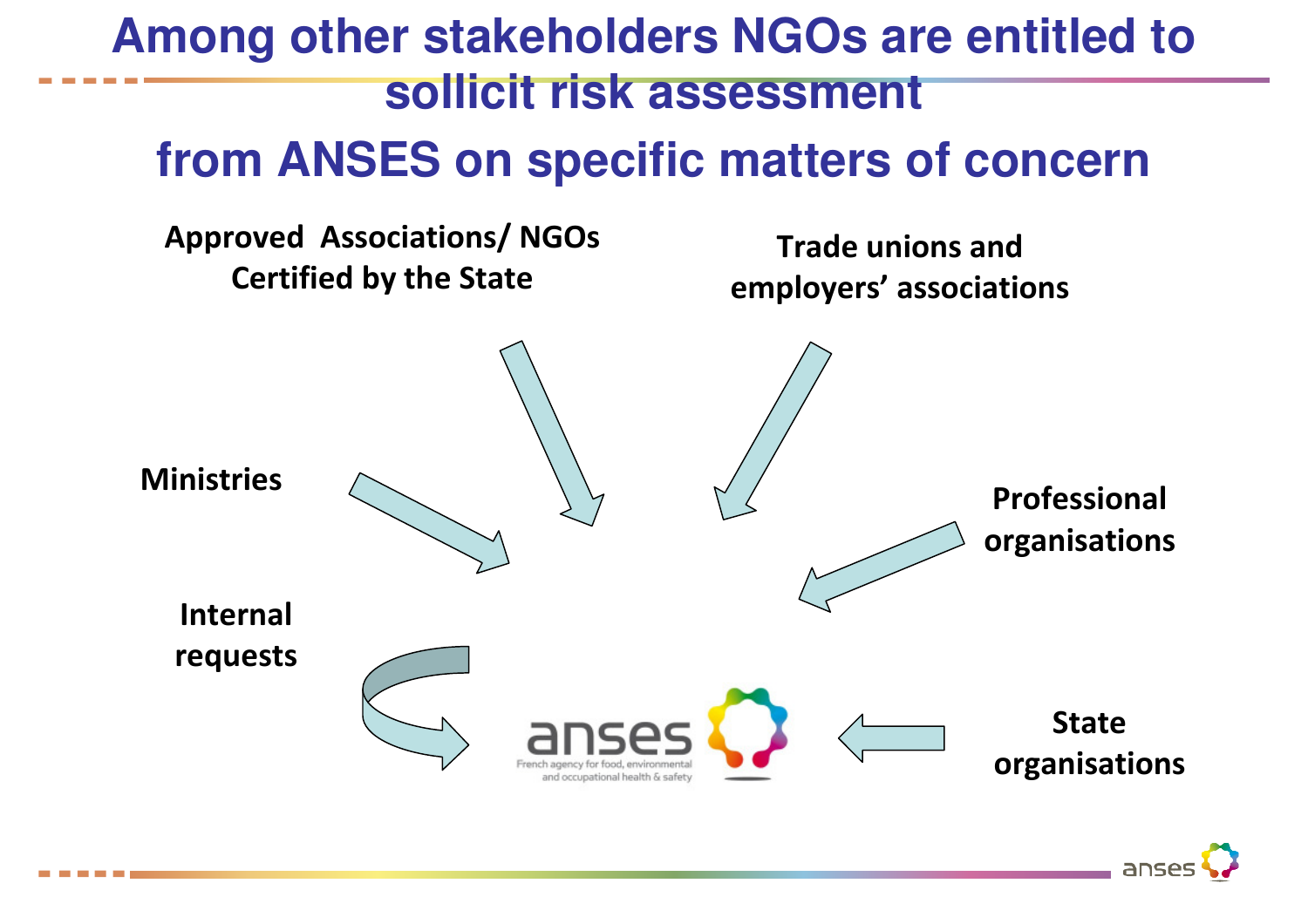#### **Among other stakeholders NGOs are entitled to sollicit risk assessment**

#### **from ANSES on specific matters of concern**

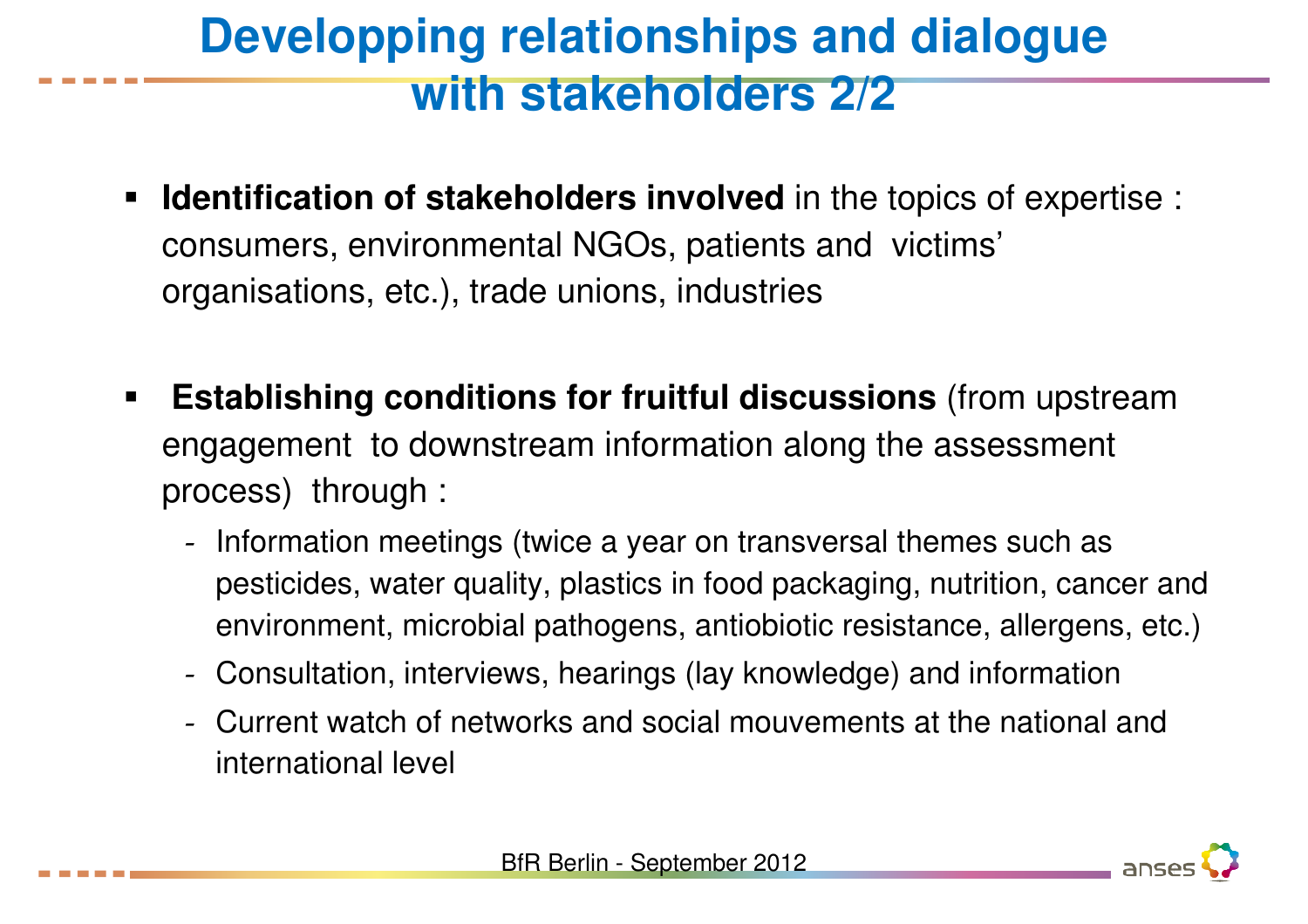## **Developping relationships and dialogue with stakeholders 2/2**

- $\blacksquare$  **Identification of stakeholders involved** in the topics of expertise : consumers, environmental NGOs, patients and victims'organisations, etc.), trade unions, industries
- $\blacksquare$  **Establishing conditions for fruitful discussions** (from upstream engagement to downstream information along the assessment process) through :
	- -- Information meetings (twice a year on transversal themes such as pesticides, water quality, plastics in food packaging, nutrition, cancer and environment, microbial pathogens, antiobiotic resistance, allergens, etc.)
	- -Consultation, interviews, hearings (lay knowledge) and information
	- - Current watch of networks and social mouvements at the national and international level



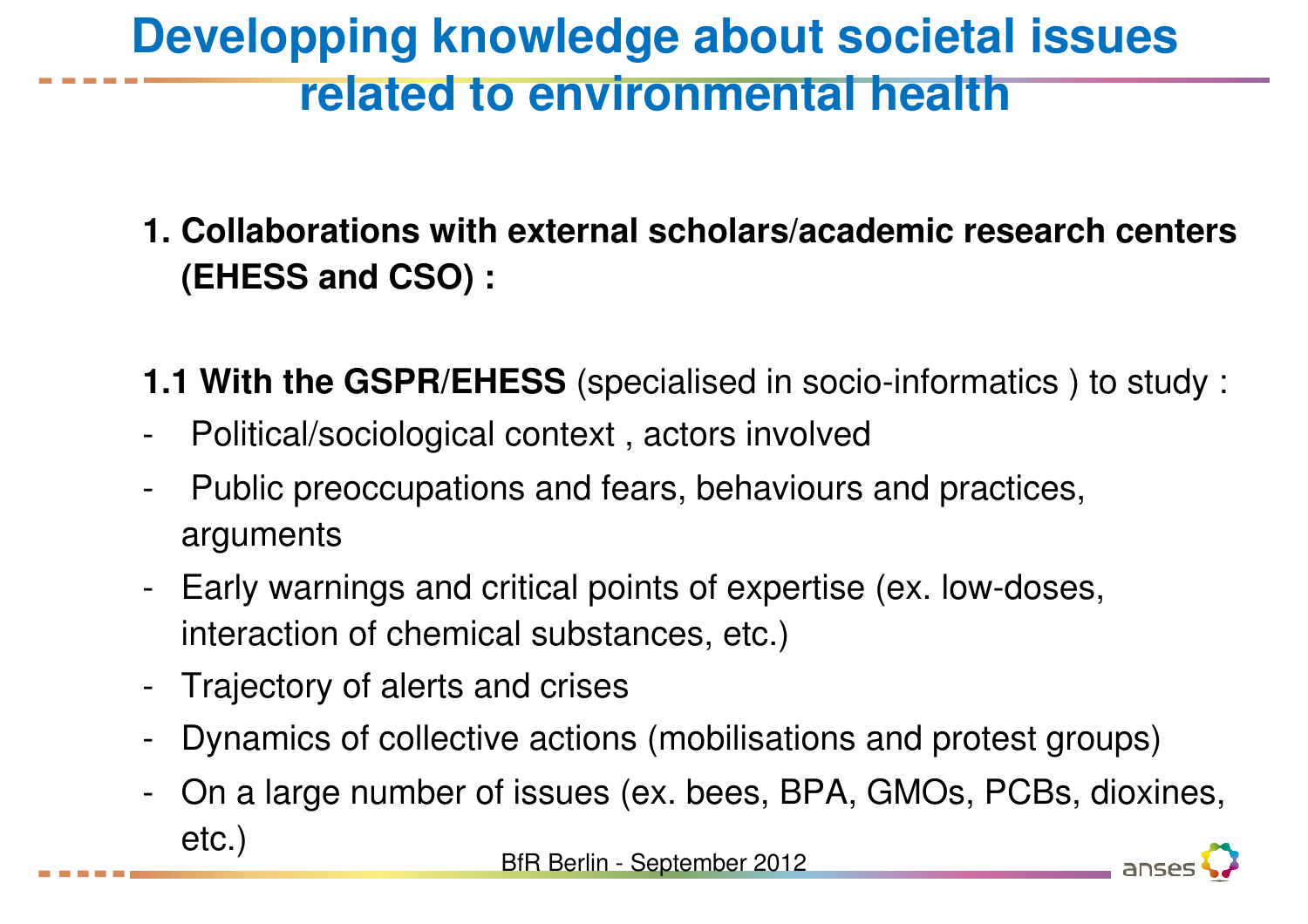## **Developping knowledge about societal issues related to environmental health**

**1. Collaborations with external scholars/academic research centers (EHESS and CSO) :**

- **1.1 With the GSPR/EHESS** (specialised in socio-informatics ) to study :
- -Political/sociological context , actors involved
- - Public preoccupations and fears, behaviours and practices, arguments
- - Early warnings and critical points of expertise (ex. low-doses, interaction of chemical substances, etc.)
- -Trajectory of alerts and crises
- -Dynamics of collective actions (mobilisations and protest groups)
- - On a large number of issues (ex. bees, BPA, GMOs, PCBs, dioxines, etc.)

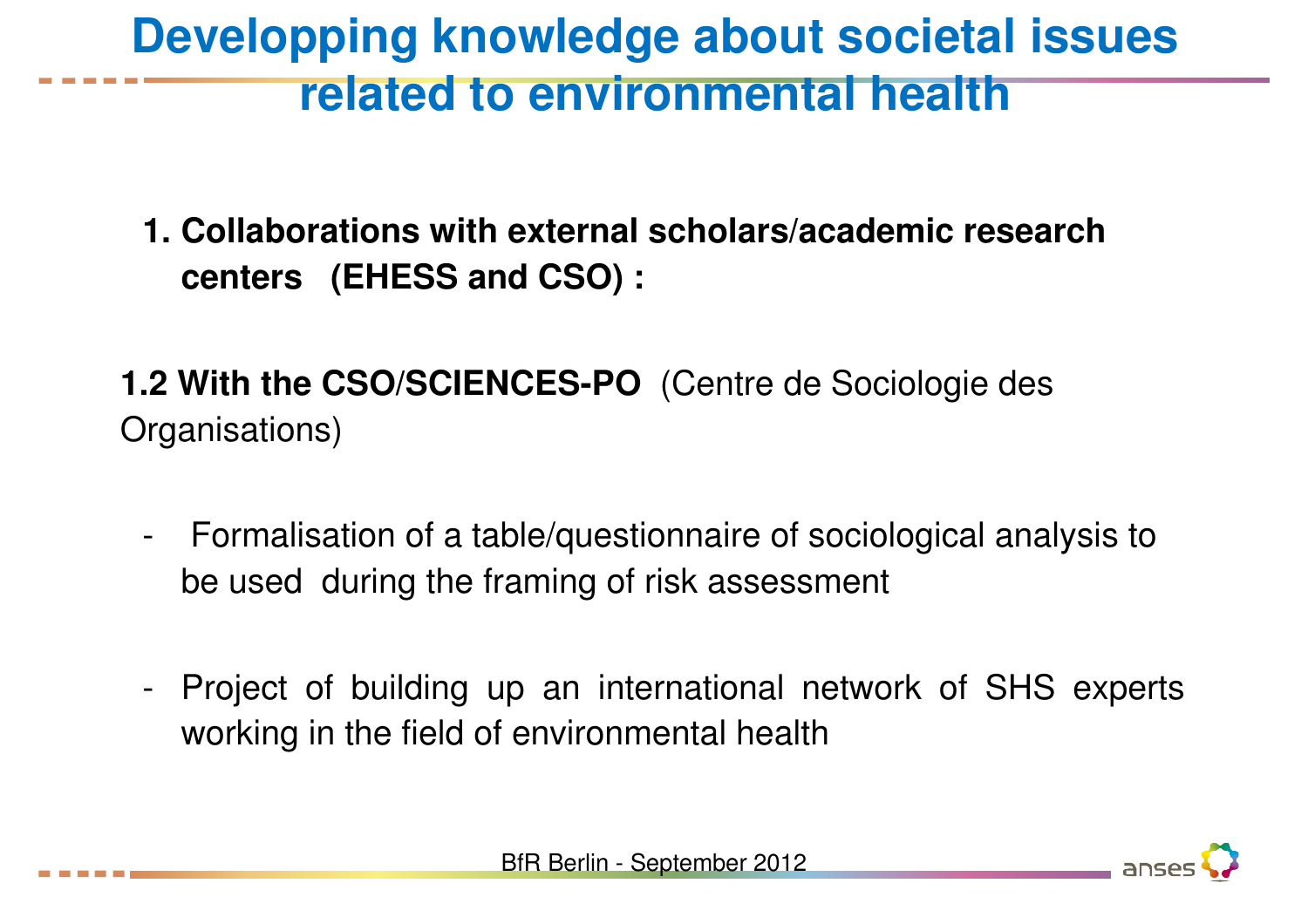#### **Developping knowledge about societal issues related to environmental health**

- **1. Collaborations with external scholars/academic research centers (EHESS and CSO) :**
- **1.2 With the CSO/SCIENCES-PO** (Centre de Sociologie des Organisations)
	- - Formalisation of a table/questionnaire of sociological analysis to be used during the framing of risk assessment
	- - Project of building up an international network of SHS experts working in the field of environmental health

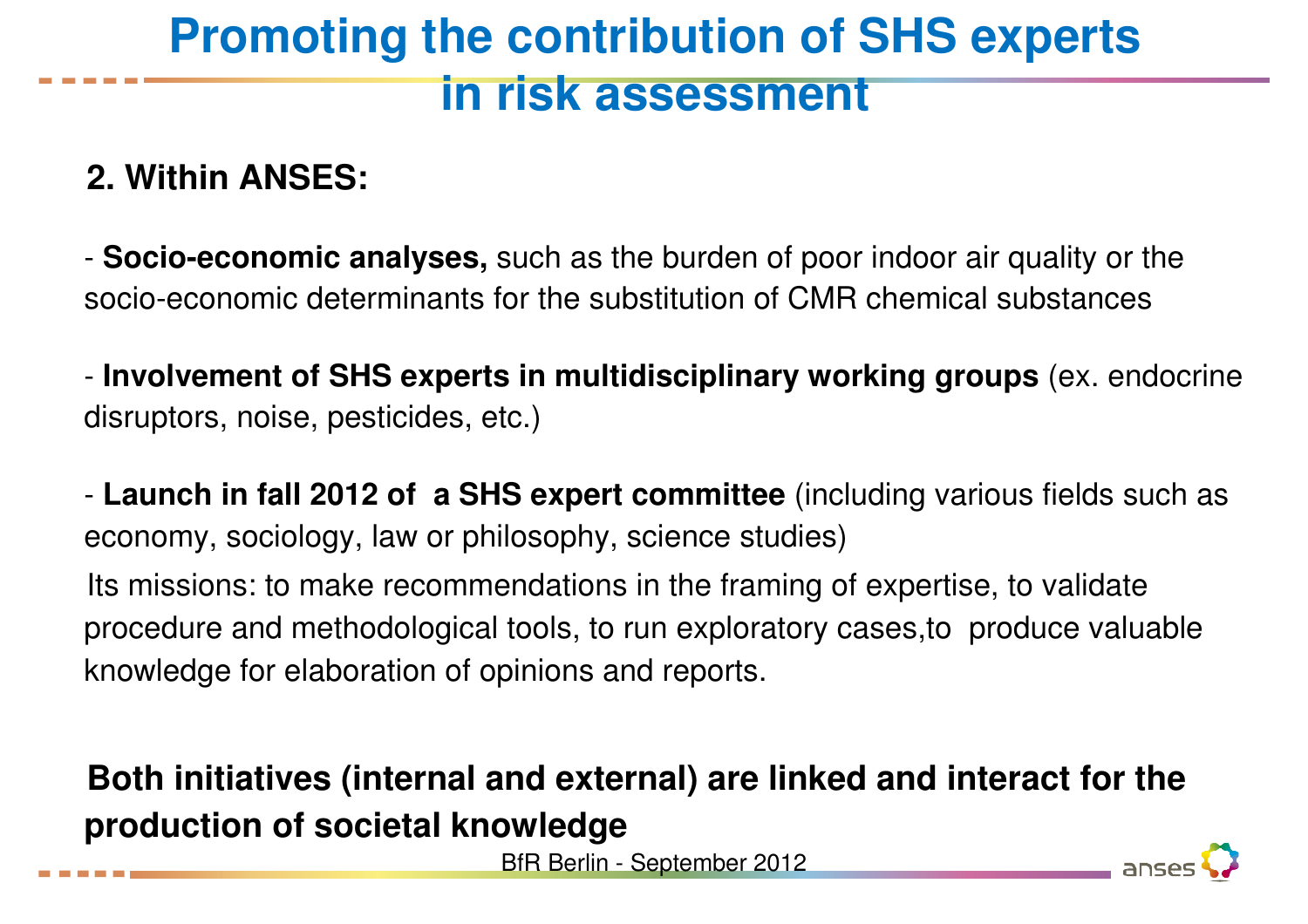### **Promoting the contribution of SHS experts in risk assessment**

#### **2. Within ANSES:**

- **Socio-economic analyses,** such as the burden of poor indoor air quality or the socio-economic determinants for the substitution of CMR chemical substances

- **Involvement of SHS experts in multidisciplinary working groups** (ex. endocrine disruptors, noise, pesticides, etc.)

- **Launch in fall 2012 of a SHS expert committee** (including various fields such as economy, sociology, law or philosophy, science studies)

Its missions: to make recommendations in the framing of expertise, to validate procedure and methodological tools, to run exploratory cases,to produce valuable knowledge for elaboration of opinions and reports.

#### **Both initiatives (internal and external) are linked and interact for the production of societal knowledge**

BfR Berlin - September 2012

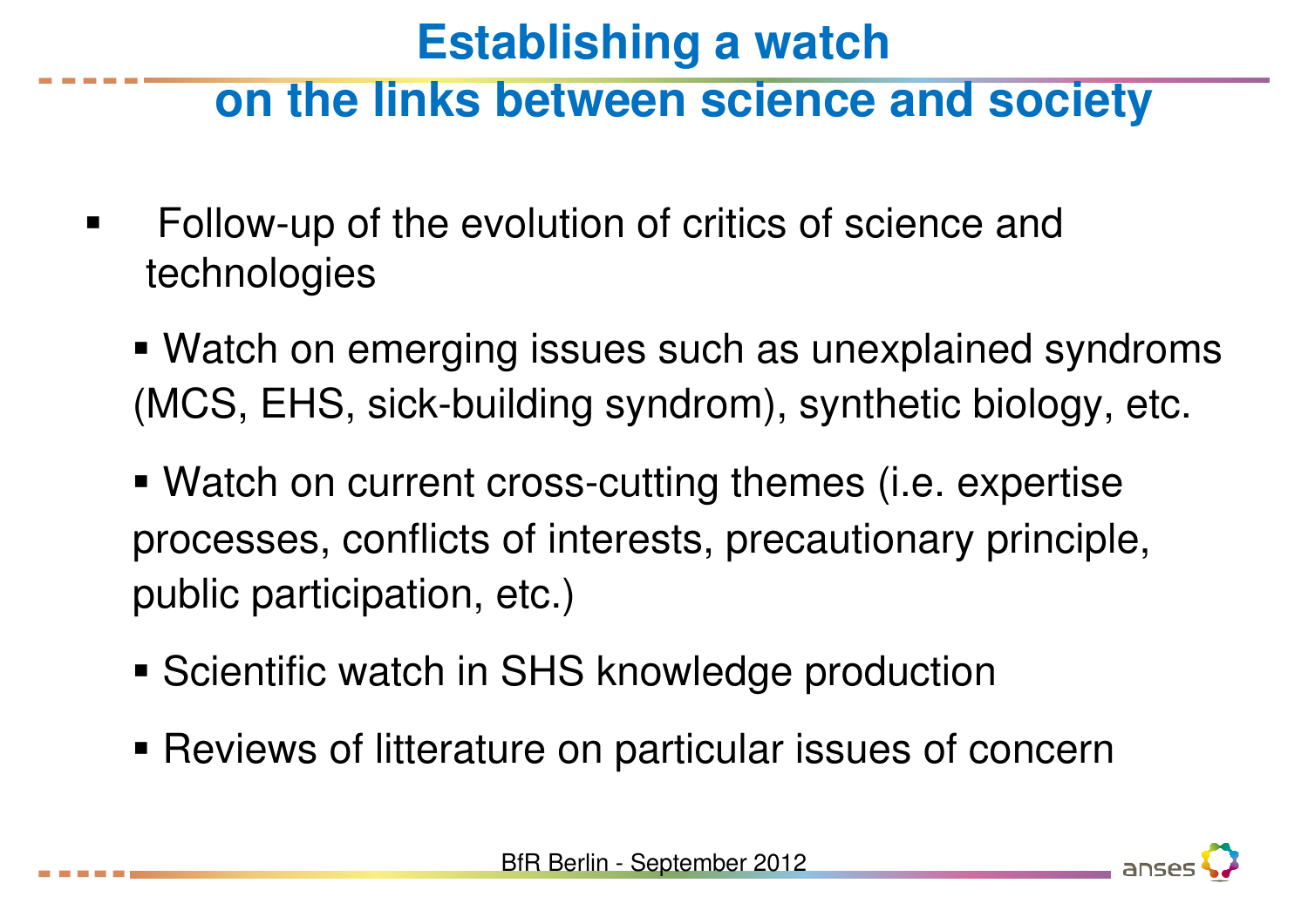#### **Establishing a watch**

#### **on the links between science and society**

- $\blacksquare$  Follow-up of the evolution of critics of science and technologies
	- Watch on emerging issues such as unexplained syndroms (MCS, EHS, sick-building syndrom), synthetic biology, etc.
	- Watch on current cross-cutting themes (i.e. expertise processes, conflicts of interests, precautionary principle, public participation, etc.)
	- **Scientific watch in SHS knowledge production**
	- Reviews of litterature on particular issues of concern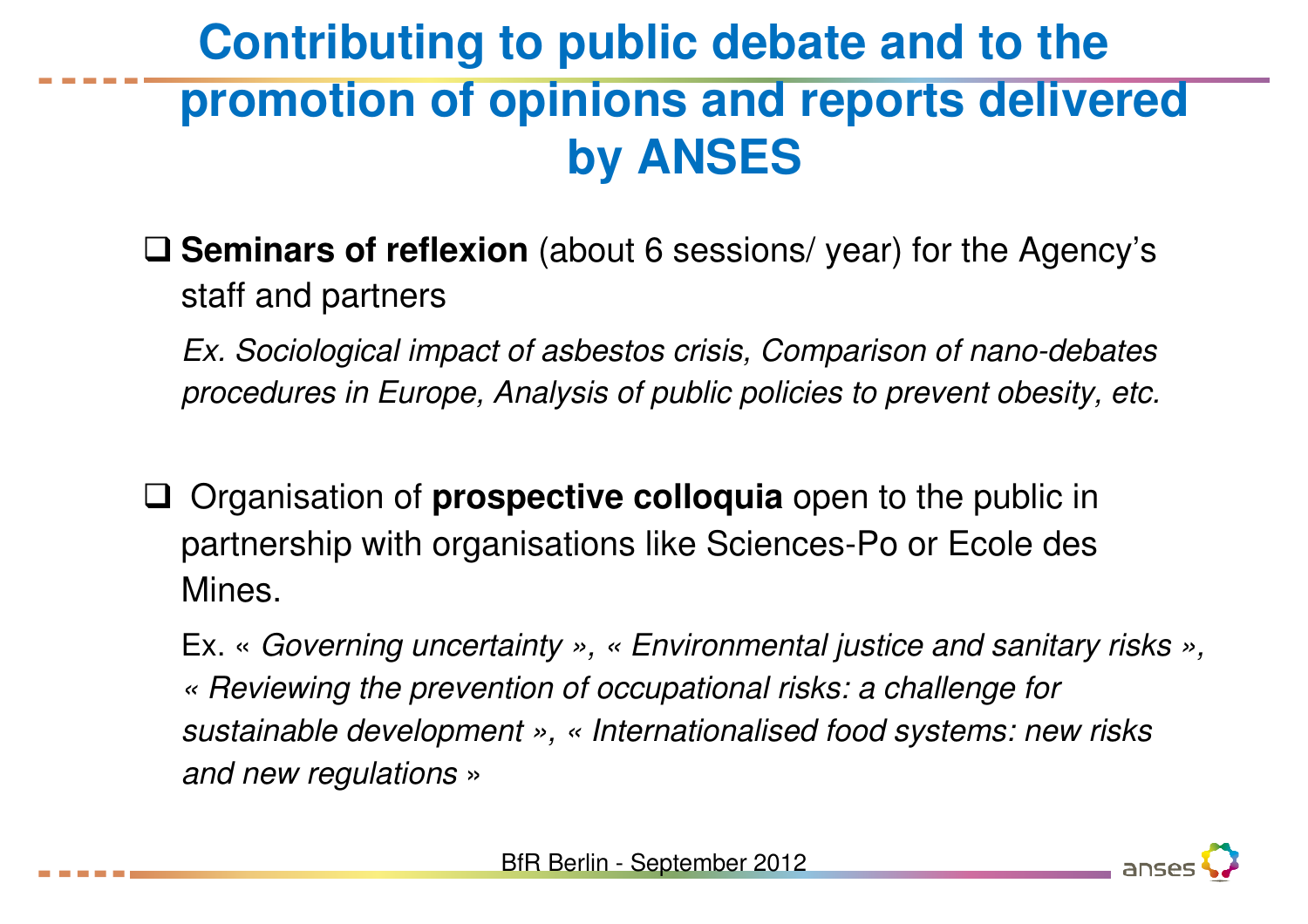### **Contributing to public debate and to the promotion of opinions and reports delivered by ANSES**

- □ **Seminars of reflexion** (about 6 sessions/ year) for the Agency's at a fact and naturalised staff and partners
	- Ex. Sociological impact of asbestos crisis, Comparison of nano-debates procedures in Europe, Analysis of public policies to prevent obesity, etc.
- $\Box$  Organisation of **prospective colloquia** open to the public in partnership with organisations like Sciences-Po or Ecole des Mines.

Ex. « Governing uncertainty », « Environmental justice and sanitary risks », « Reviewing the prevention of occupational risks: a challenge for sustainable development », « Internationalised food systems: new risks and new regulations»

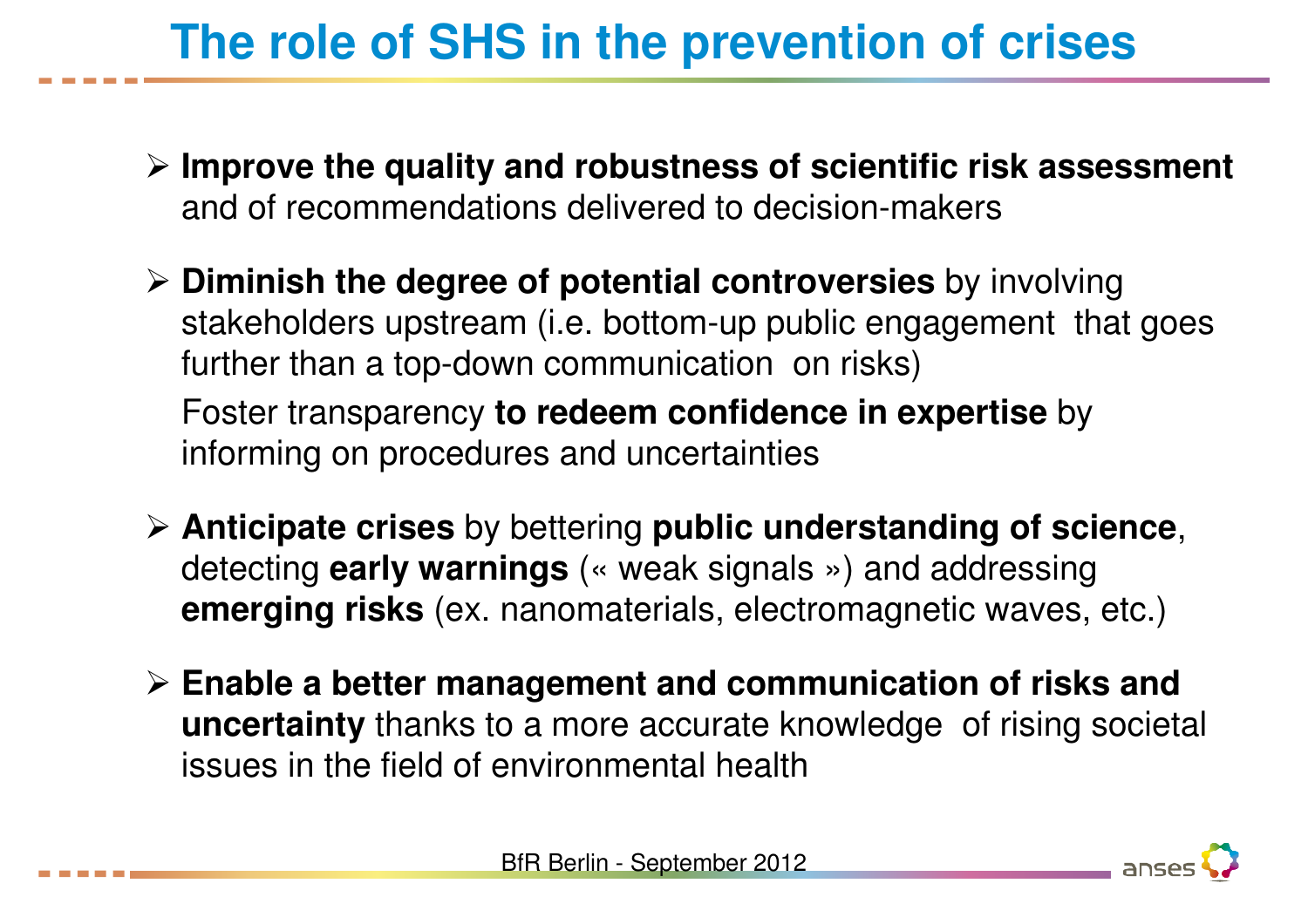# **The role of SHS in the prevention of crises**

- **Improve the quality and robustness of scientific risk assessment** and of recommendations delivered to decision-makers
- **Diminish the degree of potential controversies** by involving stakeholders upstream (i.e. bottom-up public engagement that goes further than a top-down communication on risks)

Foster transparency **to redeem confidence in expertise** by informing on procedures and uncertainties

- **Anticipate crises** by bettering **public understanding of science**, detecting **early warnings** (« weak signals ») and addressing **emerging risks** (ex. nanomaterials, electromagnetic waves, etc.)
- **Enable a better management and communication of risks and uncertainty** thanks to a more accurate knowledge of rising societal issues in the field of environmental health